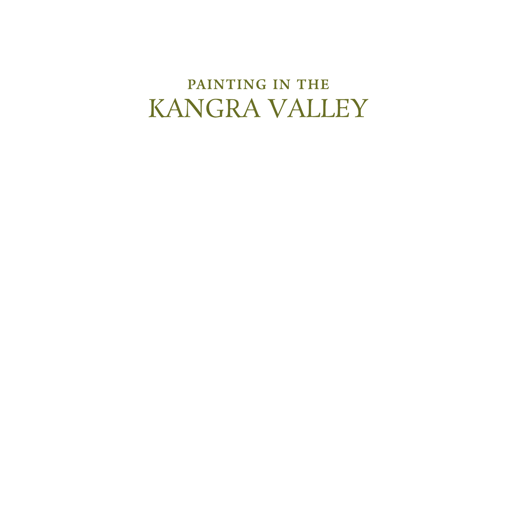## PAINTING IN THE KANGRA VALLEY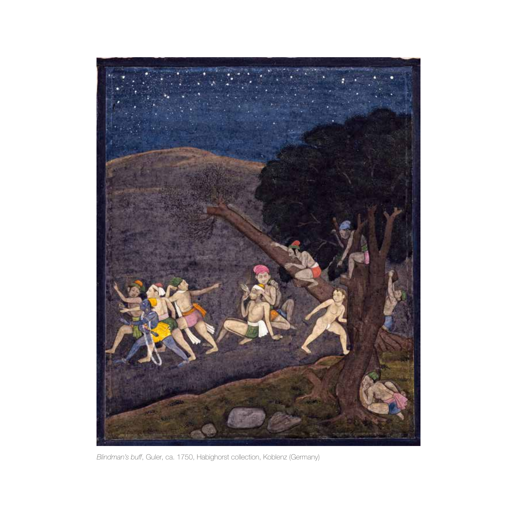

*Blindman's buff*, Guler, ca. 1750, Habighorst collection, Koblenz (Germany)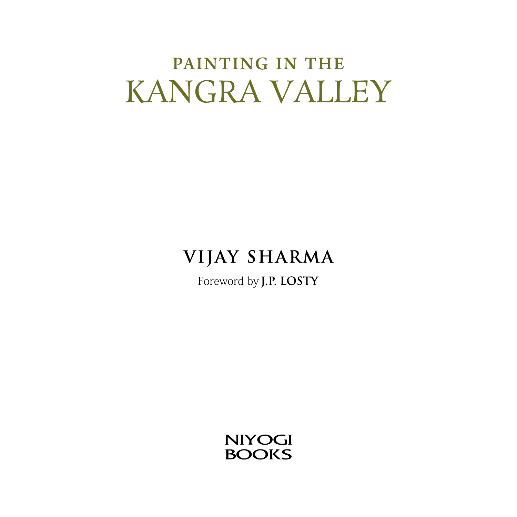# PAINTING IN THE KANGRA VALLEY

### **VIJAY SHARMA**

Foreword by J.P. LOSTY

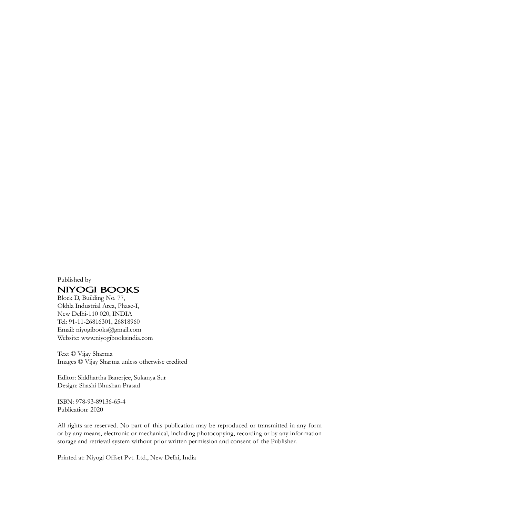Published by

#### **NIYOGI BOOKS**

Block D, Building No. 77, Okhla Industrial Area, Phase-I, New Delhi-110 020, INDIA Tel: 91-11-26816301, 26818960 Email: niyogibooks@gmail.com Website: www.niyogibooksindia.com

Text © Vijay Sharma Images © Vijay Sharma unless otherwise credited

Editor: Siddhartha Banerjee, Sukanya Sur Design: Shashi Bhushan Prasad

ISBN: 978-93-89136-65-4 Publication: 2020

All rights are reserved. No part of this publication may be reproduced or transmitted in any form or by any means, electronic or mechanical, including photocopying, recording or by any information storage and retrieval system without prior written permission and consent of the Publisher.

Printed at: Niyogi Offset Pvt. Ltd., New Delhi, India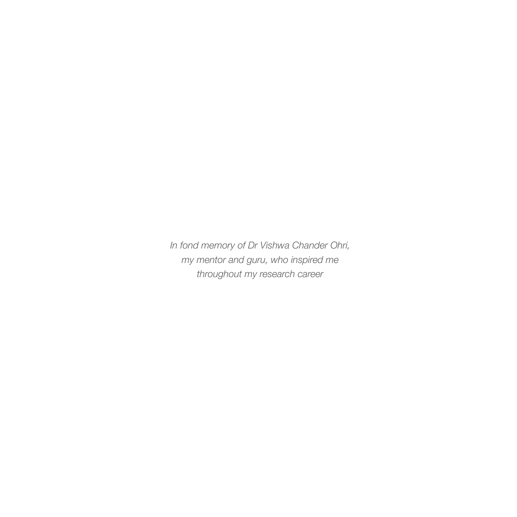*In fond memory of Dr Vishwa Chander Ohri, my mentor and guru, who inspired me throughout my research career*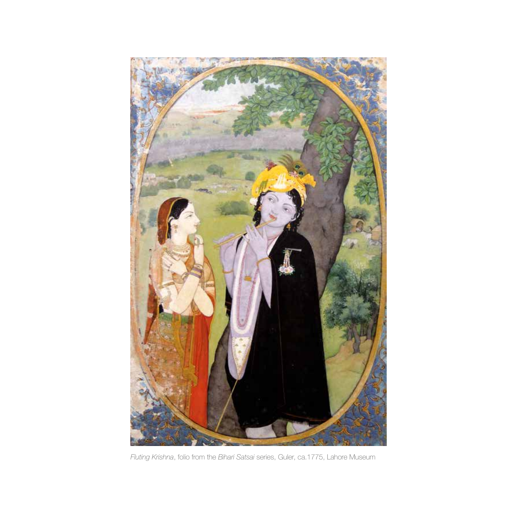

*Fluting Krishna*, folio from the *Bihari Satsai* series, Guler, ca.1775, Lahore Museum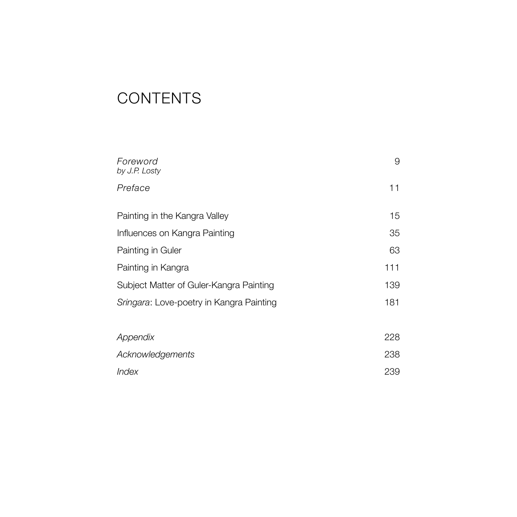### **CONTENTS**

| Foreword<br>by J.P. Losty                | 9   |
|------------------------------------------|-----|
| Preface                                  | 11  |
| Painting in the Kangra Valley            | 15  |
| Influences on Kangra Painting            | 35  |
| Painting in Guler                        | 63  |
| Painting in Kangra                       | 111 |
| Subject Matter of Guler-Kangra Painting  | 139 |
| Sringara: Love-poetry in Kangra Painting | 181 |
| Appendix                                 | 228 |
| <b>Acknowledgements</b>                  | 238 |
| Index                                    | 239 |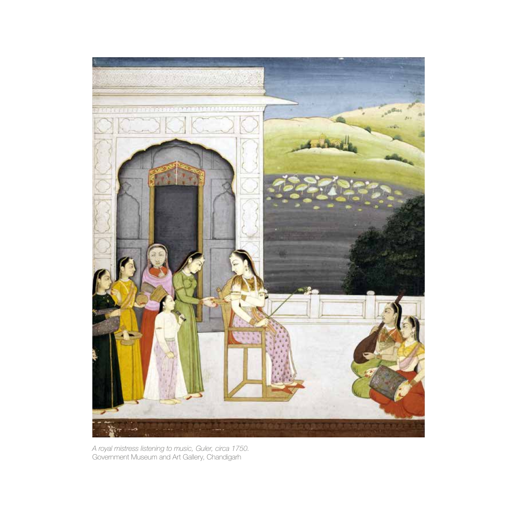

*A royal mistress listening to music, Guler, circa 1750.*  Government Museum and Art Gallery, Chandigarh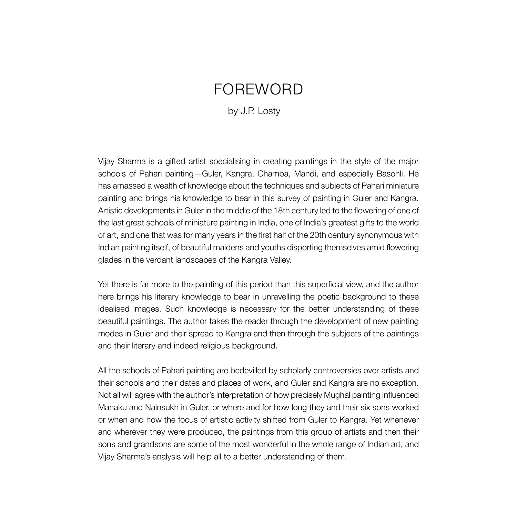### FOREWORD

#### by J.P. Losty

Vijay Sharma is a gifted artist specialising in creating paintings in the style of the major schools of Pahari painting—Guler, Kangra, Chamba, Mandi, and especially Basohli. He has amassed a wealth of knowledge about the techniques and subjects of Pahari miniature painting and brings his knowledge to bear in this survey of painting in Guler and Kangra. Artistic developments in Guler in the middle of the 18th century led to the flowering of one of the last great schools of miniature painting in India, one of India's greatest gifts to the world of art, and one that was for many years in the first half of the 20th century synonymous with Indian painting itself, of beautiful maidens and youths disporting themselves amid flowering glades in the verdant landscapes of the Kangra Valley.

Yet there is far more to the painting of this period than this superficial view, and the author here brings his literary knowledge to bear in unravelling the poetic background to these idealised images. Such knowledge is necessary for the better understanding of these beautiful paintings. The author takes the reader through the development of new painting modes in Guler and their spread to Kangra and then through the subjects of the paintings and their literary and indeed religious background.

All the schools of Pahari painting are bedevilled by scholarly controversies over artists and their schools and their dates and places of work, and Guler and Kangra are no exception. Not all will agree with the author's interpretation of how precisely Mughal painting influenced Manaku and Nainsukh in Guler, or where and for how long they and their six sons worked or when and how the focus of artistic activity shifted from Guler to Kangra. Yet whenever and wherever they were produced, the paintings from this group of artists and then their sons and grandsons are some of the most wonderful in the whole range of Indian art, and Vijay Sharma's analysis will help all to a better understanding of them.